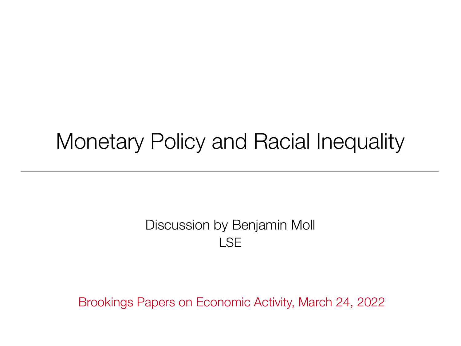## Monetary Policy and Racial Inequality

#### Discussion by Benjamin Moll LSE

Brookings Papers on Economic Activity, March 24, 2022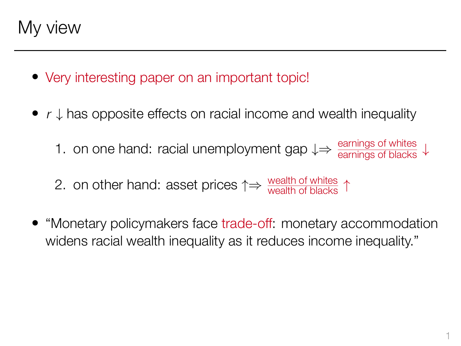- *•* Very interesting paper on an important topic!
- *• r ↓* has opposite effects on racial income and wealth inequality

1. on one hand: racial unemployment gap  $\downarrow \Rightarrow \frac{\text{earnings of white}}{\text{earnings of blocks}} \downarrow$ 

2. on other hand: asset prices *↑⇒* wealth of whites wealth of blacks *↑*

*•* "Monetary policymakers face trade-off: monetary accommodation widens racial wealth inequality as it reduces income inequality."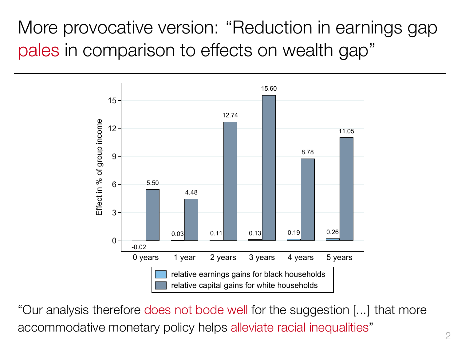More provocative version: "Reduction in earnings gap pales in comparison to effects on wealth gap" **Figure 17:** *Comparison of relative earnings and portfolio effects*



"Our analysis therefore does not bode well for the suggestion [...] that more accommodative monetary policy helps alleviate racial inequalities"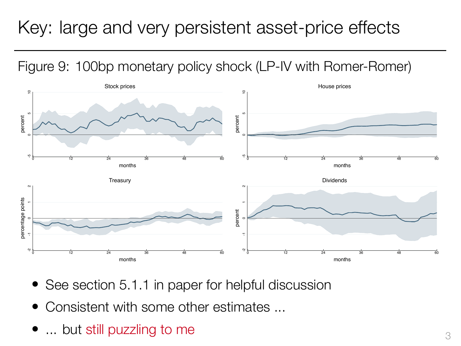#### Key: large and very persistent asset-price effects -<br>-<br>.  $\overline{a}$ .<br>.<br>.  $\frac{1}{2}$

Figure 9: 100bp monetary policy shock (LP-IV with Romer-Romer)



- See section 5.1.1 in paper for helpful discussion
- $\Omega$  consistent with a case other adirectes • Consistent with some other estimates ...
- $\bullet$  ... but still puzzling to me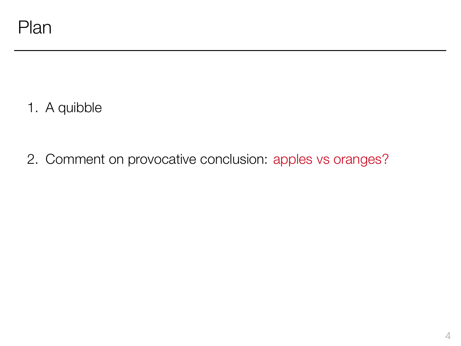1. A quibble

2. Comment on provocative conclusion: apples vs oranges?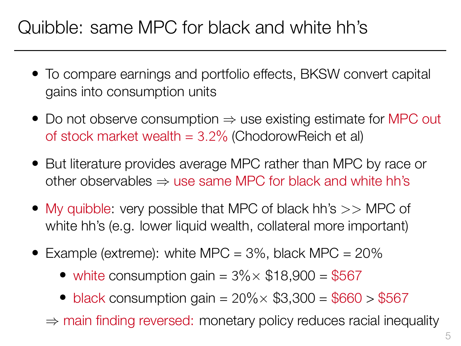### Quibble: same MPC for black and white hh's

- *•* To compare earnings and portfolio effects, BKSW convert capital gains into consumption units
- *•* Do not observe consumption *⇒* use existing estimate for MPC out of stock market wealth = 3*.*2% (ChodorowReich et al)
- *•* But literature provides average MPC rather than MPC by race or other observables *⇒* use same MPC for black and white hh's
- *•* My quibble: very possible that MPC of black hh's *>>* MPC of white hh's (e.g. lower liquid wealth, collateral more important)
- *•* Example (extreme): white MPC = 3%, black MPC = 20%
	- *•* white consumption gain = 3%*×* \$18,900 = \$567
	- *•* black consumption gain = 20%*×* \$3,300 = \$660 > \$567
	- *⇒* main finding reversed: monetary policy reduces racial inequality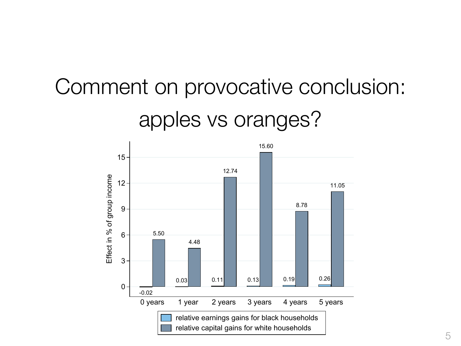# Comment on provocative conclusion: apples vs oranges?

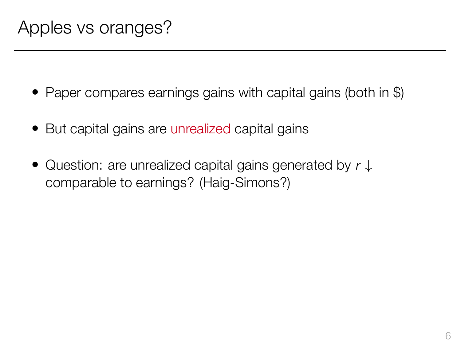- *•* Paper compares earnings gains with capital gains (both in \$)
- *•* But capital gains are unrealized capital gains
- *•* Question: are unrealized capital gains generated by *r ↓* comparable to earnings? (Haig-Simons?)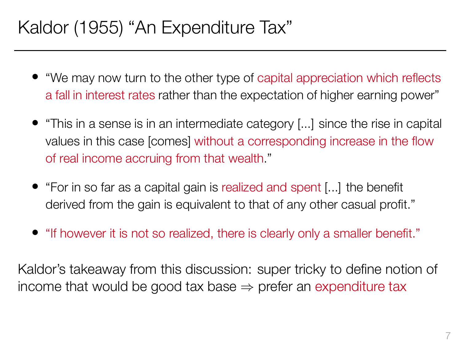### Kaldor (1955) "An Expenditure Tax"

- *•* "We may now turn to the other type of capital appreciation which reflects a fall in interest rates rather than the expectation of higher earning power"
- *•* "This in a sense is in an intermediate category [...] since the rise in capital values in this case [comes] without a corresponding increase in the flow of real income accruing from that wealth."
- *•* "For in so far as a capital gain is realized and spent [...] the benefit derived from the gain is equivalent to that of any other casual profit."
- "If however it is not so realized, there is clearly only a smaller benefit."

Kaldor's takeaway from this discussion: super tricky to define notion of income that would be good tax base *⇒* prefer an expenditure tax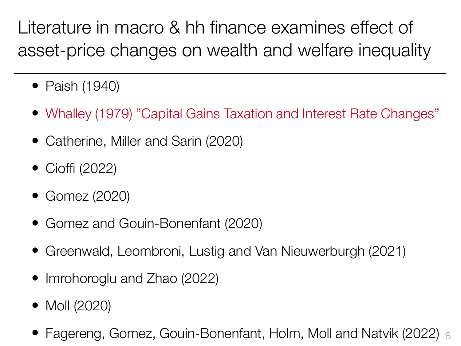Literature in macro & hh finance examines effect of asset-price changes on wealth and welfare inequality

- *•* Paish (1940)
- *•* Whalley (1979) "Capital Gains Taxation and Interest Rate Changes"
- *•* Catherine, Miller and Sarin (2020)
- *•* Cioffi (2022)
- *•* Gomez (2020)
- *•* Gomez and Gouin-Bonenfant (2020)
- *•* Greenwald, Leombroni, Lustig and Van Nieuwerburgh (2021)
- Imrohoroglu and Zhao (2022)
- *•* Moll (2020)
- *•* Fagereng, Gomez, Gouin-Bonenfant, Holm, Moll and Natvik (2022) 8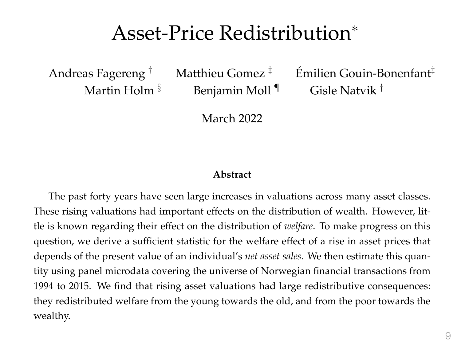### Asset-Price Redistribution<sup>∗</sup>

Andreas Fagereng † Matthieu Gomez  $\ddagger$  Émilien Gouin-Bonenfant<sup>‡</sup> Martin Holm  $\S$  Benjamin Moll  $\P$  Gisle Natvik  $\dagger$ 

March 2022

#### **Abstract**

The past forty years have seen large increases in valuations across many asset classes. These rising valuations had important effects on the distribution of wealth. However, little is known regarding their effect on the distribution of *welfare*. To make progress on this question, we derive a sufficient statistic for the welfare effect of a rise in asset prices that depends of the present value of an individual's *net asset sales*. We then estimate this quantity using panel microdata covering the universe of Norwegian financial transactions from 1994 to 2015. We find that rising asset valuations had large redistributive consequences: they redistributed welfare from the young towards the old, and from the poor towards the wealthy.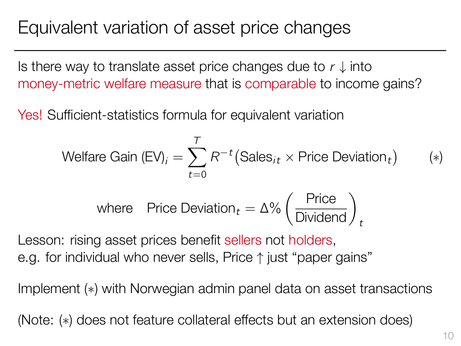#### Equivalent variation of asset price changes

Is there way to translate asset price changes due to *r ↓* into money-metric welfare measure that is comparable to income gains?

Yes! Sufficient-statistics formula for equivalent variation

$$
\text{Welfare Gain (EV)}_i = \sum_{t=0}^T R^{-t} \left( \text{Sales}_{it} \times \text{Price Deviation}_t \right) \qquad (*)
$$

where Price Deviation<sub>*t*</sub> =  $\Delta\%$   $\left(\frac{\text{Price}}{\text{Dividend}}\right)_t$ 

Lesson: rising asset prices benefit sellers not holders, e.g. for individual who never sells, Price *↑* just "paper gains"

Implement (*∗*) with Norwegian admin panel data on asset transactions

(Note: (*∗*) does not feature collateral effects but an extension does)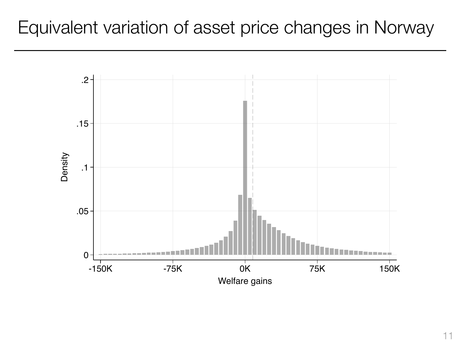#### Equivalent variation of asset price changes in Norway

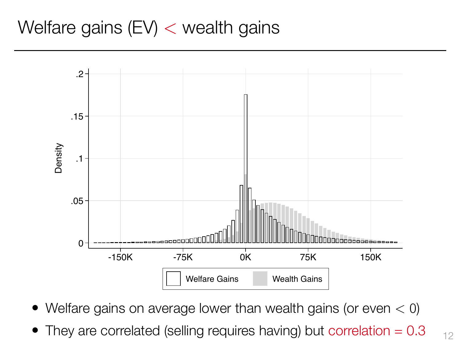### Welfare gains (EV) *<* wealth gains



- *•* Welfare gains on average lower than wealth gains (or even *<* 0)
- They are correlated (selling requires having) but correlation =  $0.3_{12}$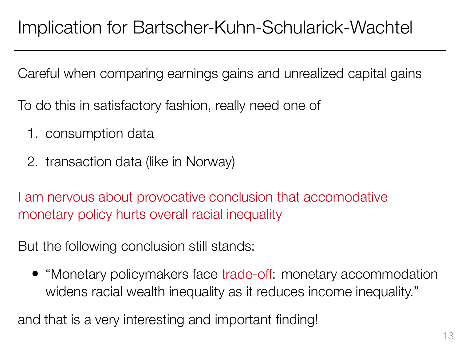Careful when comparing earnings gains and unrealized capital gains

To do this in satisfactory fashion, really need one of

- 1. consumption data
- 2. transaction data (like in Norway)

I am nervous about provocative conclusion that accomodative monetary policy hurts overall racial inequality

But the following conclusion still stands:

*•* "Monetary policymakers face trade-off: monetary accommodation widens racial wealth inequality as it reduces income inequality."

and that is a very interesting and important finding!